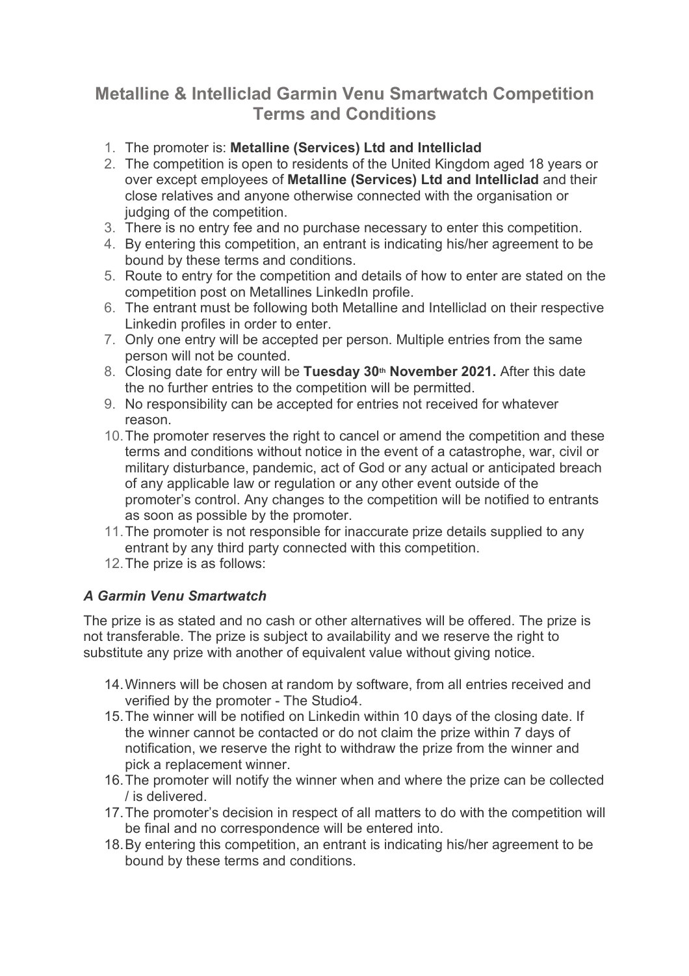## **Metalline & Intelliclad Garmin Venu Smartwatch Competition Terms and Conditions**

- 1. The promoter is: **Metalline (Services) Ltd and Intelliclad**
- 2. The competition is open to residents of the United Kingdom aged 18 years or over except employees of **Metalline (Services) Ltd and Intelliclad** and their close relatives and anyone otherwise connected with the organisation or judging of the competition.
- 3. There is no entry fee and no purchase necessary to enter this competition.
- 4. By entering this competition, an entrant is indicating his/her agreement to be bound by these terms and conditions.
- 5. Route to entry for the competition and details of how to enter are stated on the competition post on Metallines LinkedIn profile.
- 6. The entrant must be following both Metalline and Intelliclad on their respective Linkedin profiles in order to enter.
- 7. Only one entry will be accepted per person. Multiple entries from the same person will not be counted.
- 8. Closing date for entry will be Tuesday 30<sup>th</sup> November 2021. After this date the no further entries to the competition will be permitted.
- 9. No responsibility can be accepted for entries not received for whatever reason.
- 10.The promoter reserves the right to cancel or amend the competition and these terms and conditions without notice in the event of a catastrophe, war, civil or military disturbance, pandemic, act of God or any actual or anticipated breach of any applicable law or regulation or any other event outside of the promoter's control. Any changes to the competition will be notified to entrants as soon as possible by the promoter.
- 11.The promoter is not responsible for inaccurate prize details supplied to any entrant by any third party connected with this competition.
- 12.The prize is as follows:

## *A Garmin Venu Smartwatch*

The prize is as stated and no cash or other alternatives will be offered. The prize is not transferable. The prize is subject to availability and we reserve the right to substitute any prize with another of equivalent value without giving notice.

- 14.Winners will be chosen at random by software, from all entries received and verified by the promoter - The Studio4.
- 15.The winner will be notified on Linkedin within 10 days of the closing date. If the winner cannot be contacted or do not claim the prize within 7 days of notification, we reserve the right to withdraw the prize from the winner and pick a replacement winner.
- 16.The promoter will notify the winner when and where the prize can be collected / is delivered.
- 17.The promoter's decision in respect of all matters to do with the competition will be final and no correspondence will be entered into.
- 18.By entering this competition, an entrant is indicating his/her agreement to be bound by these terms and conditions.